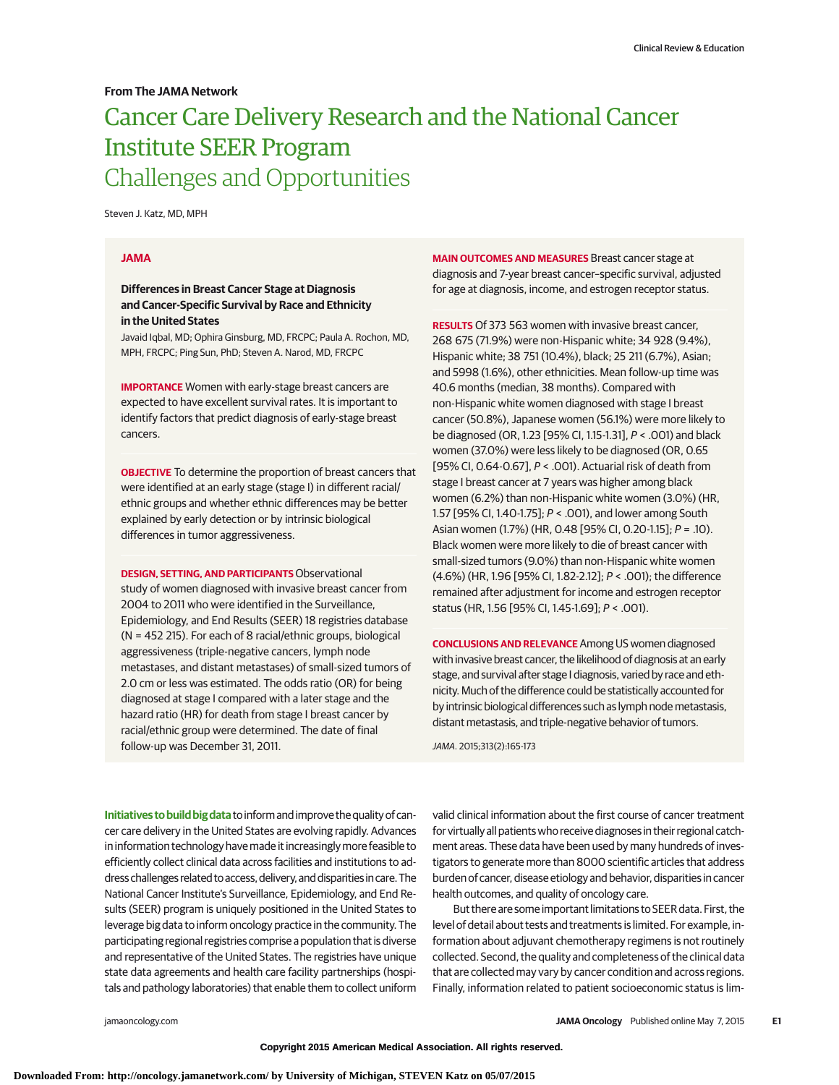## **From The JAMA Network**

# Cancer Care Delivery Research and the National Cancer Institute SEER Program Challenges and Opportunities

Steven J. Katz, MD, MPH

#### **JAMA**

## **Differences in Breast Cancer Stage at Diagnosis and Cancer-Specific Survival by Race and Ethnicity in the United States**

Javaid Iqbal, MD; Ophira Ginsburg, MD, FRCPC; Paula A. Rochon, MD, MPH, FRCPC; Ping Sun, PhD; Steven A. Narod, MD, FRCPC

**IMPORTANCE** Women with early-stage breast cancers are expected to have excellent survival rates. It is important to identify factors that predict diagnosis of early-stage breast cancers.

**OBJECTIVE** To determine the proportion of breast cancers that were identified at an early stage (stage I) in different racial/ ethnic groups and whether ethnic differences may be better explained by early detection or by intrinsic biological differences in tumor aggressiveness.

**DESIGN, SETTING, AND PARTICIPANTS** Observational study of women diagnosed with invasive breast cancer from 2004 to 2011 who were identified in the Surveillance, Epidemiology, and End Results (SEER) 18 registries database (N = 452 215). For each of 8 racial/ethnic groups, biological aggressiveness (triple-negative cancers, lymph node metastases, and distant metastases) of small-sized tumors of 2.0 cm or less was estimated. The odds ratio (OR) for being diagnosed at stage I compared with a later stage and the hazard ratio (HR) for death from stage I breast cancer by racial/ethnic group were determined. The date of final follow-up was December 31, 2011.

**MAIN OUTCOMES AND MEASURES** Breast cancer stage at diagnosis and 7-year breast cancer–specific survival, adjusted for age at diagnosis, income, and estrogen receptor status.

**RESULTS** Of 373 563 women with invasive breast cancer, 268 675 (71.9%) were non-Hispanic white; 34 928 (9.4%), Hispanic white; 38 751 (10.4%), black; 25 211 (6.7%), Asian; and 5998 (1.6%), other ethnicities. Mean follow-up time was 40.6 months (median, 38 months). Compared with non-Hispanic white women diagnosed with stage I breast cancer (50.8%), Japanese women (56.1%) were more likely to be diagnosed (OR, 1.23 [95% CI, 1.15-1.31], P < .001) and black women (37.0%) were less likely to be diagnosed (OR, 0.65 [95% CI, 0.64-0.67], P < .001). Actuarial risk of death from stage I breast cancer at 7 years was higher among black women (6.2%) than non-Hispanic white women (3.0%) (HR, 1.57 [95% CI, 1.40-1.75]; P < .001), and lower among South Asian women (1.7%) (HR, 0.48 [95% CI, 0.20-1.15]; P = .10). Black women were more likely to die of breast cancer with small-sized tumors (9.0%) than non-Hispanic white women (4.6%) (HR, 1.96 [95% CI, 1.82-2.12]; P < .001); the difference remained after adjustment for income and estrogen receptor status (HR, 1.56 [95% CI, 1.45-1.69]; P < .001).

**CONCLUSIONS AND RELEVANCE** Among US women diagnosed with invasive breast cancer, the likelihood of diagnosis at an early stage, and survival after stage I diagnosis, varied by race and ethnicity. Much of the difference could be statistically accounted for by intrinsic biological differences such as lymph node metastasis, distant metastasis, and triple-negative behavior of tumors.

JAMA. 2015;313(2):165-173

**Initiatives to build big data**to informand improve the quality of cancer care delivery in the United States are evolving rapidly. Advances in information technology havemade it increasinglymore feasible to efficiently collect clinical data across facilities and institutions to address challenges related to access, delivery, and disparities in care. The National Cancer Institute's Surveillance, Epidemiology, and End Results (SEER) program is uniquely positioned in the United States to leverage big data to inform oncology practice in the community. The participating regional registries comprise a population that is diverse and representative of the United States. The registries have unique state data agreements and health care facility partnerships (hospitals and pathology laboratories) that enable them to collect uniform

valid clinical information about the first course of cancer treatment for virtually all patients who receive diagnoses in their regional catchment areas. These data have been used by many hundreds of investigators to generate more than 8000 scientific articles that address burden of cancer, disease etiology and behavior, disparities in cancer health outcomes, and quality of oncology care.

But there are some important limitations to SEER data. First, the level of detail about tests and treatments is limited. For example, information about adjuvant chemotherapy regimens is not routinely collected. Second, the quality and completeness of the clinical data that are collected may vary by cancer condition and across regions. Finally, information related to patient socioeconomic status is lim-